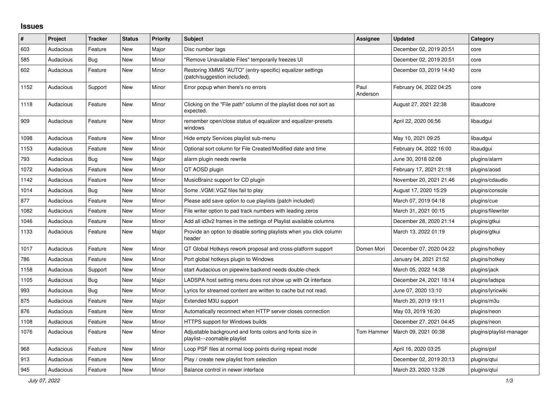## **Issues**

| ∦    | Project   | <b>Tracker</b> | <b>Status</b> | Priority | <b>Subject</b>                                                                            | Assignee         | <b>Updated</b>          | Category                 |
|------|-----------|----------------|---------------|----------|-------------------------------------------------------------------------------------------|------------------|-------------------------|--------------------------|
| 603  | Audacious | Feature        | <b>New</b>    | Major    | Disc number tags                                                                          |                  | December 02, 2019 20:51 | core                     |
| 585  | Audacious | Bug            | New           | Minor    | "Remove Unavailable Files" temporarily freezes UI                                         |                  | December 02, 2019 20:51 | core                     |
| 602  | Audacious | Feature        | <b>New</b>    | Minor    | Restoring XMMS "AUTO" (entry-specific) equalizer settings<br>(patch/suggestion included). |                  | December 03, 2019 14:40 | core                     |
| 1152 | Audacious | Support        | <b>New</b>    | Minor    | Error popup when there's no errors                                                        | Paul<br>Anderson | February 04, 2022 04:25 | core                     |
| 1118 | Audacious | Feature        | New           | Minor    | Clicking on the "File path" column of the playlist does not sort as<br>expected.          |                  | August 27, 2021 22:38   | libaudcore               |
| 909  | Audacious | Feature        | <b>New</b>    | Minor    | remember open/close status of equalizer and equalizer-presets<br>windows                  |                  | April 22, 2020 06:56    | libaudgui                |
| 1098 | Audacious | Feature        | <b>New</b>    | Minor    | Hide empty Services playlist sub-menu                                                     |                  | May 10, 2021 09:25      | libaudgui                |
| 1153 | Audacious | Feature        | <b>New</b>    | Minor    | Optional sort column for File Created/Modified date and time                              |                  | February 04, 2022 16:00 | libaudgui                |
| 793  | Audacious | <b>Bug</b>     | <b>New</b>    | Major    | alarm plugin needs rewrite                                                                |                  | June 30, 2018 02:08     | plugins/alarm            |
| 1072 | Audacious | Feature        | <b>New</b>    | Minor    | QT AOSD plugin                                                                            |                  | February 17, 2021 21:18 | plugins/aosd             |
| 1142 | Audacious | Feature        | New           | Minor    | MusicBrainz support for CD plugin                                                         |                  | November 20, 2021 21:46 | plugins/cdaudio          |
| 1014 | Audacious | <b>Bug</b>     | <b>New</b>    | Minor    | Some .VGM/.VGZ files fail to play                                                         |                  | August 17, 2020 15:29   | plugins/console          |
| 877  | Audacious | Feature        | <b>New</b>    | Minor    | Please add save option to cue playlists (patch included)                                  |                  | March 07, 2019 04:18    | plugins/cue              |
| 1082 | Audacious | Feature        | New           | Minor    | File writer option to pad track numbers with leading zeros                                |                  | March 31, 2021 00:15    | plugins/filewriter       |
| 1046 | Audacious | Feature        | New           | Minor    | Add all id3v2 frames in the settings of Playlist available columns                        |                  | December 28, 2020 21:14 | plugins/gtkui            |
| 1133 | Audacious | Feature        | <b>New</b>    | Major    | Provide an option to disable sorting playlists when you click column<br>header            |                  | March 13, 2022 01:19    | plugins/gtkui            |
| 1017 | Audacious | Feature        | New           | Minor    | QT Global Hotkeys rework proposal and cross-platform support                              | Domen Mori       | December 07, 2020 04:22 | plugins/hotkey           |
| 786  | Audacious | Feature        | <b>New</b>    | Minor    | Port global hotkeys plugin to Windows                                                     |                  | January 04, 2021 21:52  | plugins/hotkey           |
| 1158 | Audacious | Support        | <b>New</b>    | Minor    | start Audacious on pipewire backend needs double-check                                    |                  | March 05, 2022 14:38    | plugins/jack             |
| 1105 | Audacious | <b>Bug</b>     | <b>New</b>    | Major    | LADSPA host setting menu does not show up with Qt interface                               |                  | December 24, 2021 18:14 | plugins/ladspa           |
| 993  | Audacious | <b>Bug</b>     | New           | Minor    | Lyrics for streamed content are written to cache but not read.                            |                  | June 07, 2020 13:10     | plugins/lyricwiki        |
| 875  | Audacious | Feature        | New           | Major    | Extended M3U support                                                                      |                  | March 20, 2019 19:11    | plugins/m3u              |
| 876  | Audacious | Feature        | New           | Minor    | Automatically reconnect when HTTP server closes connection                                |                  | May 03, 2019 16:20      | plugins/neon             |
| 1108 | Audacious | Feature        | New           | Minor    | <b>HTTPS support for Windows builds</b>                                                   |                  | December 27, 2021 04:45 | plugins/neon             |
| 1076 | Audacious | Feature        | <b>New</b>    | Minor    | Adjustable background and fonts colors and fonts size in<br>playlist---zoomable playlist  | Tom Hammer       | March 09, 2021 00:38    | plugins/playlist-manager |
| 968  | Audacious | Feature        | New           | Minor    | Loop PSF files at normal loop points during repeat mode                                   |                  | April 16, 2020 03:25    | plugins/psf              |
| 913  | Audacious | Feature        | <b>New</b>    | Minor    | Play / create new playlist from selection                                                 |                  | December 02, 2019 20:13 | plugins/gtui             |
| 945  | Audacious | Feature        | <b>New</b>    | Minor    | Balance control in newer interface                                                        |                  | March 23, 2020 13:28    | plugins/qtui             |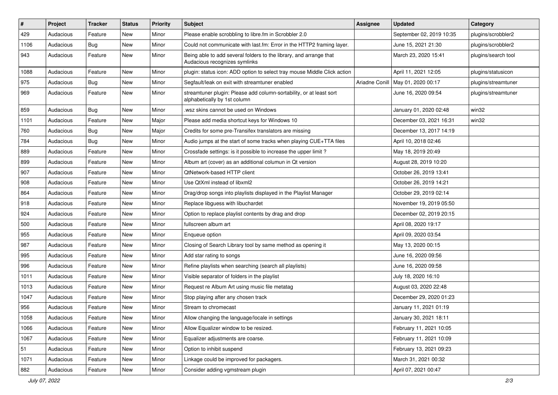| $\vert$ # | Project   | <b>Tracker</b> | <b>Status</b> | <b>Priority</b> | <b>Subject</b>                                                                                      | Assignee       | <b>Updated</b>           | Category            |
|-----------|-----------|----------------|---------------|-----------------|-----------------------------------------------------------------------------------------------------|----------------|--------------------------|---------------------|
| 429       | Audacious | Feature        | <b>New</b>    | Minor           | Please enable scrobbling to libre.fm in Scrobbler 2.0                                               |                | September 02, 2019 10:35 | plugins/scrobbler2  |
| 1106      | Audacious | Bug            | New           | Minor           | Could not communicate with last.fm: Error in the HTTP2 framing layer.                               |                | June 15, 2021 21:30      | plugins/scrobbler2  |
| 943       | Audacious | Feature        | <b>New</b>    | Minor           | Being able to add several folders to the library, and arrange that<br>Audacious recognizes symlinks |                | March 23, 2020 15:41     | plugins/search tool |
| 1088      | Audacious | Feature        | <b>New</b>    | Minor           | plugin: status icon: ADD option to select tray mouse Middle Click action                            |                | April 11, 2021 12:05     | plugins/statusicon  |
| 975       | Audacious | <b>Bug</b>     | New           | Minor           | Segfault/leak on exit with streamtuner enabled                                                      | Ariadne Conill | May 01, 2020 00:17       | plugins/streamtuner |
| 969       | Audacious | Feature        | New           | Minor           | streamtuner plugin: Please add column-sortability, or at least sort<br>alphabetically by 1st column |                | June 16, 2020 09:54      | plugins/streamtuner |
| 859       | Audacious | Bug            | New           | Minor           | wsz skins cannot be used on Windows.                                                                |                | January 01, 2020 02:48   | win32               |
| 1101      | Audacious | Feature        | New           | Major           | Please add media shortcut keys for Windows 10                                                       |                | December 03, 2021 16:31  | win32               |
| 760       | Audacious | <b>Bug</b>     | <b>New</b>    | Major           | Credits for some pre-Transifex translators are missing                                              |                | December 13, 2017 14:19  |                     |
| 784       | Audacious | <b>Bug</b>     | New           | Minor           | Audio jumps at the start of some tracks when playing CUE+TTA files                                  |                | April 10, 2018 02:46     |                     |
| 889       | Audacious | Feature        | <b>New</b>    | Minor           | Crossfade settings: is it possible to increase the upper limit?                                     |                | May 18, 2019 20:49       |                     |
| 899       | Audacious | Feature        | New           | Minor           | Album art (cover) as an additional columun in Qt version                                            |                | August 28, 2019 10:20    |                     |
| 907       | Audacious | Feature        | <b>New</b>    | Minor           | QtNetwork-based HTTP client                                                                         |                | October 26, 2019 13:41   |                     |
| 908       | Audacious | Feature        | <b>New</b>    | Minor           | Use QtXml instead of libxml2                                                                        |                | October 26, 2019 14:21   |                     |
| 864       | Audacious | Feature        | New           | Minor           | Drag/drop songs into playlists displayed in the Playlist Manager                                    |                | October 29, 2019 02:14   |                     |
| 918       | Audacious | Feature        | <b>New</b>    | Minor           | Replace libguess with libuchardet                                                                   |                | November 19, 2019 05:50  |                     |
| 924       | Audacious | Feature        | New           | Minor           | Option to replace playlist contents by drag and drop                                                |                | December 02, 2019 20:15  |                     |
| 500       | Audacious | Feature        | <b>New</b>    | Minor           | fullscreen album art                                                                                |                | April 08, 2020 19:17     |                     |
| 955       | Audacious | Feature        | New           | Minor           | Enqueue option                                                                                      |                | April 09, 2020 03:54     |                     |
| 987       | Audacious | Feature        | New           | Minor           | Closing of Search Library tool by same method as opening it                                         |                | May 13, 2020 00:15       |                     |
| 995       | Audacious | Feature        | <b>New</b>    | Minor           | Add star rating to songs                                                                            |                | June 16, 2020 09:56      |                     |
| 996       | Audacious | Feature        | <b>New</b>    | Minor           | Refine playlists when searching (search all playlists)                                              |                | June 16, 2020 09:58      |                     |
| 1011      | Audacious | Feature        | New           | Minor           | Visible separator of folders in the playlist                                                        |                | July 18, 2020 16:10      |                     |
| 1013      | Audacious | Feature        | <b>New</b>    | Minor           | Request re Album Art using music file metatag                                                       |                | August 03, 2020 22:48    |                     |
| 1047      | Audacious | Feature        | New           | Minor           | Stop playing after any chosen track                                                                 |                | December 29, 2020 01:23  |                     |
| 956       | Audacious | Feature        | New           | Minor           | Stream to chromecast                                                                                |                | January 11, 2021 01:19   |                     |
| 1058      | Audacious | Feature        | New           | Minor           | Allow changing the language/locale in settings                                                      |                | January 30, 2021 18:11   |                     |
| 1066      | Audacious | Feature        | New           | Minor           | Allow Equalizer window to be resized.                                                               |                | February 11, 2021 10:05  |                     |
| 1067      | Audacious | Feature        | New           | Minor           | Equalizer adjustments are coarse.                                                                   |                | February 11, 2021 10:09  |                     |
| 51        | Audacious | Feature        | New           | Minor           | Option to inhibit suspend                                                                           |                | February 13, 2021 09:23  |                     |
| 1071      | Audacious | Feature        | New           | Minor           | Linkage could be improved for packagers.                                                            |                | March 31, 2021 00:32     |                     |
| 882       | Audacious | Feature        | New           | Minor           | Consider adding vgmstream plugin                                                                    |                | April 07, 2021 00:47     |                     |